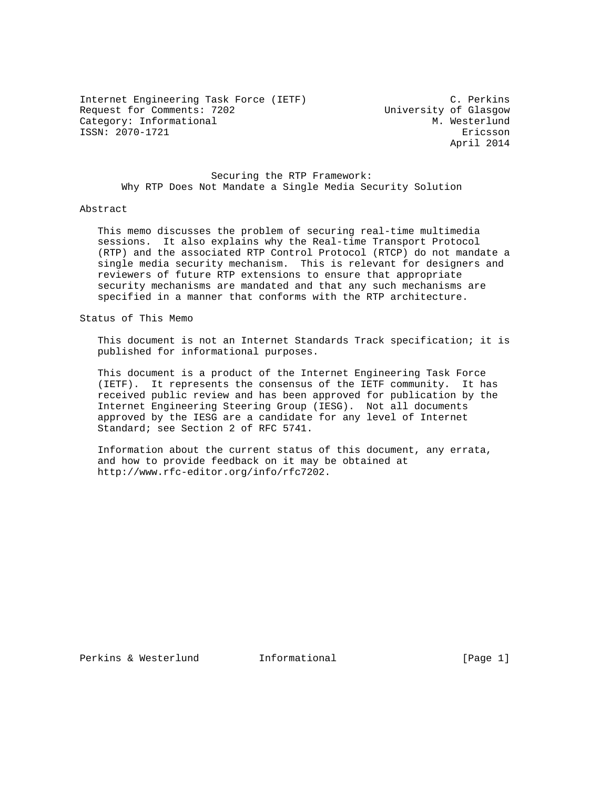Internet Engineering Task Force (IETF) C. Perkins Request for Comments: 7202 University of Glasgow Category: Informational  $M.$  Westerlund ISSN: 2070-1721 Ericsson

April 2014

 Securing the RTP Framework: Why RTP Does Not Mandate a Single Media Security Solution

## Abstract

 This memo discusses the problem of securing real-time multimedia sessions. It also explains why the Real-time Transport Protocol (RTP) and the associated RTP Control Protocol (RTCP) do not mandate a single media security mechanism. This is relevant for designers and reviewers of future RTP extensions to ensure that appropriate security mechanisms are mandated and that any such mechanisms are specified in a manner that conforms with the RTP architecture.

Status of This Memo

 This document is not an Internet Standards Track specification; it is published for informational purposes.

 This document is a product of the Internet Engineering Task Force (IETF). It represents the consensus of the IETF community. It has received public review and has been approved for publication by the Internet Engineering Steering Group (IESG). Not all documents approved by the IESG are a candidate for any level of Internet Standard; see Section 2 of RFC 5741.

 Information about the current status of this document, any errata, and how to provide feedback on it may be obtained at http://www.rfc-editor.org/info/rfc7202.

Perkins & Westerlund 1nformational 100 (Page 1)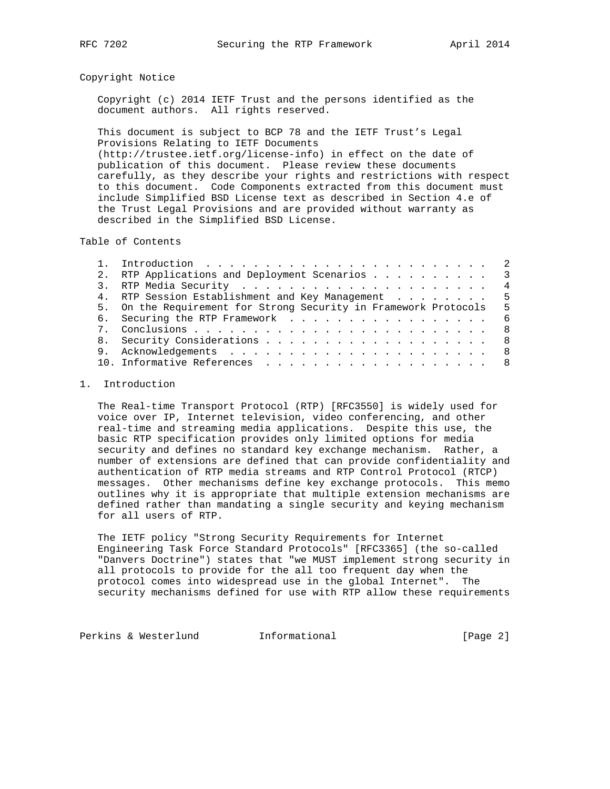## Copyright Notice

 Copyright (c) 2014 IETF Trust and the persons identified as the document authors. All rights reserved.

 This document is subject to BCP 78 and the IETF Trust's Legal Provisions Relating to IETF Documents (http://trustee.ietf.org/license-info) in effect on the date of publication of this document. Please review these documents carefully, as they describe your rights and restrictions with respect to this document. Code Components extracted from this document must include Simplified BSD License text as described in Section 4.e of the Trust Legal Provisions and are provided without warranty as described in the Simplified BSD License.

Table of Contents

|  | 2. RTP Applications and Deployment Scenarios 3                   |                |
|--|------------------------------------------------------------------|----------------|
|  |                                                                  | $\overline{4}$ |
|  | 4. RTP Session Establishment and Key Management 5                |                |
|  | 5. On the Requirement for Strong Security in Framework Protocols | - 5            |
|  | 6. Securing the RTP Framework 6                                  |                |
|  | - 8                                                              |                |
|  | 8. Security Considerations 8                                     |                |
|  |                                                                  |                |
|  | 10. Informative References 8                                     |                |
|  |                                                                  |                |

## 1. Introduction

 The Real-time Transport Protocol (RTP) [RFC3550] is widely used for voice over IP, Internet television, video conferencing, and other real-time and streaming media applications. Despite this use, the basic RTP specification provides only limited options for media security and defines no standard key exchange mechanism. Rather, a number of extensions are defined that can provide confidentiality and authentication of RTP media streams and RTP Control Protocol (RTCP) messages. Other mechanisms define key exchange protocols. This memo outlines why it is appropriate that multiple extension mechanisms are defined rather than mandating a single security and keying mechanism for all users of RTP.

 The IETF policy "Strong Security Requirements for Internet Engineering Task Force Standard Protocols" [RFC3365] (the so-called "Danvers Doctrine") states that "we MUST implement strong security in all protocols to provide for the all too frequent day when the protocol comes into widespread use in the global Internet". The security mechanisms defined for use with RTP allow these requirements

Perkins & Westerlund Informational [Page 2]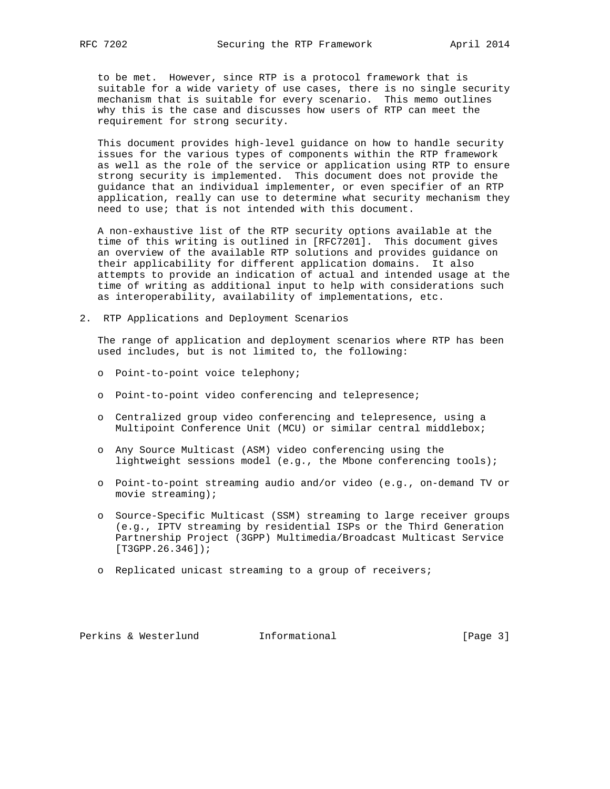to be met. However, since RTP is a protocol framework that is suitable for a wide variety of use cases, there is no single security mechanism that is suitable for every scenario. This memo outlines why this is the case and discusses how users of RTP can meet the requirement for strong security.

 This document provides high-level guidance on how to handle security issues for the various types of components within the RTP framework as well as the role of the service or application using RTP to ensure strong security is implemented. This document does not provide the guidance that an individual implementer, or even specifier of an RTP application, really can use to determine what security mechanism they need to use; that is not intended with this document.

 A non-exhaustive list of the RTP security options available at the time of this writing is outlined in [RFC7201]. This document gives an overview of the available RTP solutions and provides guidance on their applicability for different application domains. It also attempts to provide an indication of actual and intended usage at the time of writing as additional input to help with considerations such as interoperability, availability of implementations, etc.

2. RTP Applications and Deployment Scenarios

 The range of application and deployment scenarios where RTP has been used includes, but is not limited to, the following:

- o Point-to-point voice telephony;
- o Point-to-point video conferencing and telepresence;
- o Centralized group video conferencing and telepresence, using a Multipoint Conference Unit (MCU) or similar central middlebox;
- o Any Source Multicast (ASM) video conferencing using the lightweight sessions model (e.g., the Mbone conferencing tools);
- o Point-to-point streaming audio and/or video (e.g., on-demand TV or movie streaming);
- o Source-Specific Multicast (SSM) streaming to large receiver groups (e.g., IPTV streaming by residential ISPs or the Third Generation Partnership Project (3GPP) Multimedia/Broadcast Multicast Service [T3GPP.26.346]);
- o Replicated unicast streaming to a group of receivers;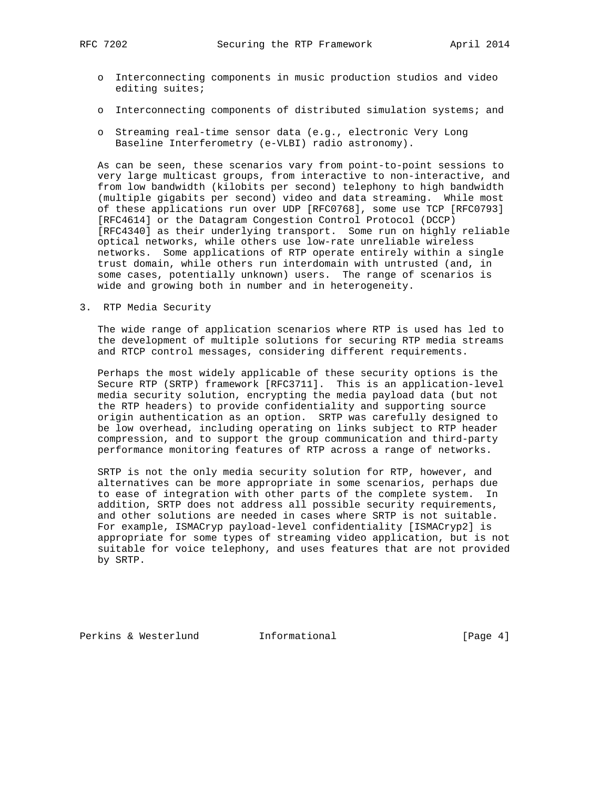- o Interconnecting components in music production studios and video editing suites;
- o Interconnecting components of distributed simulation systems; and
- o Streaming real-time sensor data (e.g., electronic Very Long Baseline Interferometry (e-VLBI) radio astronomy).

 As can be seen, these scenarios vary from point-to-point sessions to very large multicast groups, from interactive to non-interactive, and from low bandwidth (kilobits per second) telephony to high bandwidth (multiple gigabits per second) video and data streaming. While most of these applications run over UDP [RFC0768], some use TCP [RFC0793] [RFC4614] or the Datagram Congestion Control Protocol (DCCP) [RFC4340] as their underlying transport. Some run on highly reliable optical networks, while others use low-rate unreliable wireless networks. Some applications of RTP operate entirely within a single trust domain, while others run interdomain with untrusted (and, in some cases, potentially unknown) users. The range of scenarios is wide and growing both in number and in heterogeneity.

3. RTP Media Security

 The wide range of application scenarios where RTP is used has led to the development of multiple solutions for securing RTP media streams and RTCP control messages, considering different requirements.

 Perhaps the most widely applicable of these security options is the Secure RTP (SRTP) framework [RFC3711]. This is an application-level media security solution, encrypting the media payload data (but not the RTP headers) to provide confidentiality and supporting source origin authentication as an option. SRTP was carefully designed to be low overhead, including operating on links subject to RTP header compression, and to support the group communication and third-party performance monitoring features of RTP across a range of networks.

 SRTP is not the only media security solution for RTP, however, and alternatives can be more appropriate in some scenarios, perhaps due to ease of integration with other parts of the complete system. In addition, SRTP does not address all possible security requirements, and other solutions are needed in cases where SRTP is not suitable. For example, ISMACryp payload-level confidentiality [ISMACryp2] is appropriate for some types of streaming video application, but is not suitable for voice telephony, and uses features that are not provided by SRTP.

Perkins & Westerlund Informational [Page 4]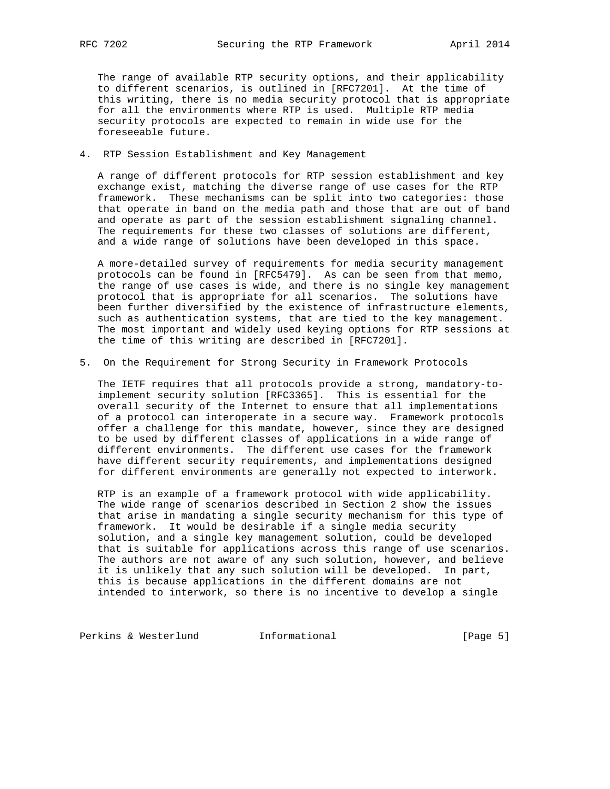The range of available RTP security options, and their applicability to different scenarios, is outlined in [RFC7201]. At the time of this writing, there is no media security protocol that is appropriate for all the environments where RTP is used. Multiple RTP media security protocols are expected to remain in wide use for the foreseeable future.

4. RTP Session Establishment and Key Management

 A range of different protocols for RTP session establishment and key exchange exist, matching the diverse range of use cases for the RTP framework. These mechanisms can be split into two categories: those that operate in band on the media path and those that are out of band and operate as part of the session establishment signaling channel. The requirements for these two classes of solutions are different, and a wide range of solutions have been developed in this space.

 A more-detailed survey of requirements for media security management protocols can be found in [RFC5479]. As can be seen from that memo, the range of use cases is wide, and there is no single key management protocol that is appropriate for all scenarios. The solutions have been further diversified by the existence of infrastructure elements, such as authentication systems, that are tied to the key management. The most important and widely used keying options for RTP sessions at the time of this writing are described in [RFC7201].

5. On the Requirement for Strong Security in Framework Protocols

 The IETF requires that all protocols provide a strong, mandatory-to implement security solution [RFC3365]. This is essential for the overall security of the Internet to ensure that all implementations of a protocol can interoperate in a secure way. Framework protocols offer a challenge for this mandate, however, since they are designed to be used by different classes of applications in a wide range of different environments. The different use cases for the framework have different security requirements, and implementations designed for different environments are generally not expected to interwork.

 RTP is an example of a framework protocol with wide applicability. The wide range of scenarios described in Section 2 show the issues that arise in mandating a single security mechanism for this type of framework. It would be desirable if a single media security solution, and a single key management solution, could be developed that is suitable for applications across this range of use scenarios. The authors are not aware of any such solution, however, and believe it is unlikely that any such solution will be developed. In part, this is because applications in the different domains are not intended to interwork, so there is no incentive to develop a single

Perkins & Westerlund Informational [Page 5]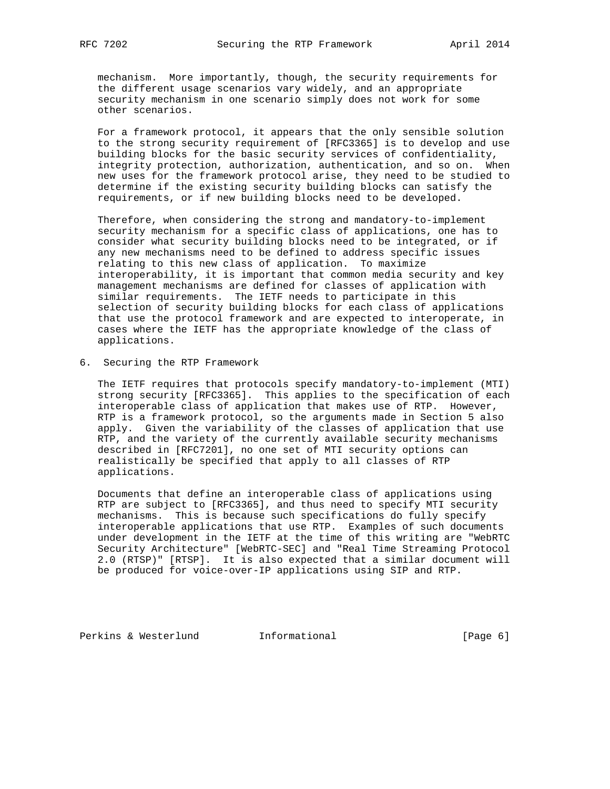mechanism. More importantly, though, the security requirements for the different usage scenarios vary widely, and an appropriate security mechanism in one scenario simply does not work for some other scenarios.

 For a framework protocol, it appears that the only sensible solution to the strong security requirement of [RFC3365] is to develop and use building blocks for the basic security services of confidentiality, integrity protection, authorization, authentication, and so on. When new uses for the framework protocol arise, they need to be studied to determine if the existing security building blocks can satisfy the requirements, or if new building blocks need to be developed.

 Therefore, when considering the strong and mandatory-to-implement security mechanism for a specific class of applications, one has to consider what security building blocks need to be integrated, or if any new mechanisms need to be defined to address specific issues relating to this new class of application. To maximize interoperability, it is important that common media security and key management mechanisms are defined for classes of application with similar requirements. The IETF needs to participate in this selection of security building blocks for each class of applications that use the protocol framework and are expected to interoperate, in cases where the IETF has the appropriate knowledge of the class of applications.

6. Securing the RTP Framework

 The IETF requires that protocols specify mandatory-to-implement (MTI) strong security [RFC3365]. This applies to the specification of each interoperable class of application that makes use of RTP. However, RTP is a framework protocol, so the arguments made in Section 5 also apply. Given the variability of the classes of application that use RTP, and the variety of the currently available security mechanisms described in [RFC7201], no one set of MTI security options can realistically be specified that apply to all classes of RTP applications.

 Documents that define an interoperable class of applications using RTP are subject to [RFC3365], and thus need to specify MTI security mechanisms. This is because such specifications do fully specify interoperable applications that use RTP. Examples of such documents under development in the IETF at the time of this writing are "WebRTC Security Architecture" [WebRTC-SEC] and "Real Time Streaming Protocol 2.0 (RTSP)" [RTSP]. It is also expected that a similar document will be produced for voice-over-IP applications using SIP and RTP.

Perkins & Westerlund Informational [Page 6]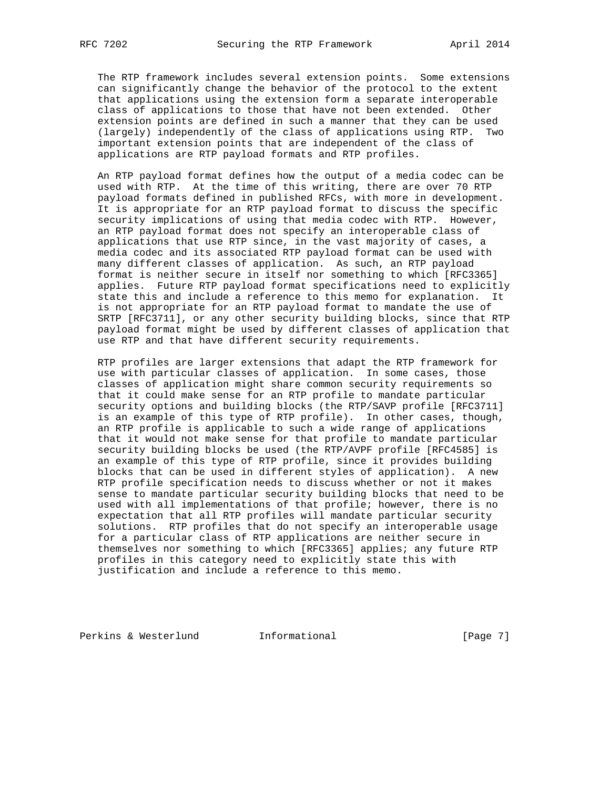The RTP framework includes several extension points. Some extensions can significantly change the behavior of the protocol to the extent that applications using the extension form a separate interoperable class of applications to those that have not been extended. Other extension points are defined in such a manner that they can be used (largely) independently of the class of applications using RTP. Two important extension points that are independent of the class of applications are RTP payload formats and RTP profiles.

 An RTP payload format defines how the output of a media codec can be used with RTP. At the time of this writing, there are over 70 RTP payload formats defined in published RFCs, with more in development. It is appropriate for an RTP payload format to discuss the specific security implications of using that media codec with RTP. However, an RTP payload format does not specify an interoperable class of applications that use RTP since, in the vast majority of cases, a media codec and its associated RTP payload format can be used with many different classes of application. As such, an RTP payload format is neither secure in itself nor something to which [RFC3365] applies. Future RTP payload format specifications need to explicitly state this and include a reference to this memo for explanation. It is not appropriate for an RTP payload format to mandate the use of SRTP [RFC3711], or any other security building blocks, since that RTP payload format might be used by different classes of application that use RTP and that have different security requirements.

 RTP profiles are larger extensions that adapt the RTP framework for use with particular classes of application. In some cases, those classes of application might share common security requirements so that it could make sense for an RTP profile to mandate particular security options and building blocks (the RTP/SAVP profile [RFC3711] is an example of this type of RTP profile). In other cases, though, an RTP profile is applicable to such a wide range of applications that it would not make sense for that profile to mandate particular security building blocks be used (the RTP/AVPF profile [RFC4585] is an example of this type of RTP profile, since it provides building blocks that can be used in different styles of application). A new RTP profile specification needs to discuss whether or not it makes sense to mandate particular security building blocks that need to be used with all implementations of that profile; however, there is no expectation that all RTP profiles will mandate particular security solutions. RTP profiles that do not specify an interoperable usage for a particular class of RTP applications are neither secure in themselves nor something to which [RFC3365] applies; any future RTP profiles in this category need to explicitly state this with justification and include a reference to this memo.

Perkins & Westerlund 1nformational 100 [Page 7]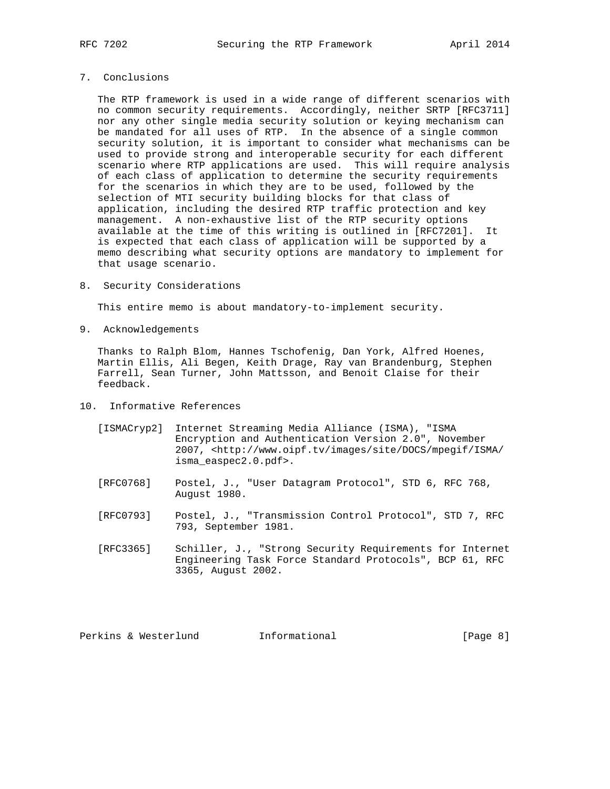## 7. Conclusions

 The RTP framework is used in a wide range of different scenarios with no common security requirements. Accordingly, neither SRTP [RFC3711] nor any other single media security solution or keying mechanism can be mandated for all uses of RTP. In the absence of a single common security solution, it is important to consider what mechanisms can be used to provide strong and interoperable security for each different scenario where RTP applications are used. This will require analysis of each class of application to determine the security requirements for the scenarios in which they are to be used, followed by the selection of MTI security building blocks for that class of application, including the desired RTP traffic protection and key management. A non-exhaustive list of the RTP security options available at the time of this writing is outlined in [RFC7201]. It is expected that each class of application will be supported by a memo describing what security options are mandatory to implement for that usage scenario.

8. Security Considerations

This entire memo is about mandatory-to-implement security.

9. Acknowledgements

 Thanks to Ralph Blom, Hannes Tschofenig, Dan York, Alfred Hoenes, Martin Ellis, Ali Begen, Keith Drage, Ray van Brandenburg, Stephen Farrell, Sean Turner, John Mattsson, and Benoit Claise for their feedback.

- 10. Informative References
	- [ISMACryp2] Internet Streaming Media Alliance (ISMA), "ISMA Encryption and Authentication Version 2.0", November 2007, <http://www.oipf.tv/images/site/DOCS/mpegif/ISMA/ isma\_easpec2.0.pdf>.
	- [RFC0768] Postel, J., "User Datagram Protocol", STD 6, RFC 768, August 1980.
	- [RFC0793] Postel, J., "Transmission Control Protocol", STD 7, RFC 793, September 1981.
	- [RFC3365] Schiller, J., "Strong Security Requirements for Internet Engineering Task Force Standard Protocols", BCP 61, RFC 3365, August 2002.

Perkins & Westerlund 1nformational 100 [Page 8]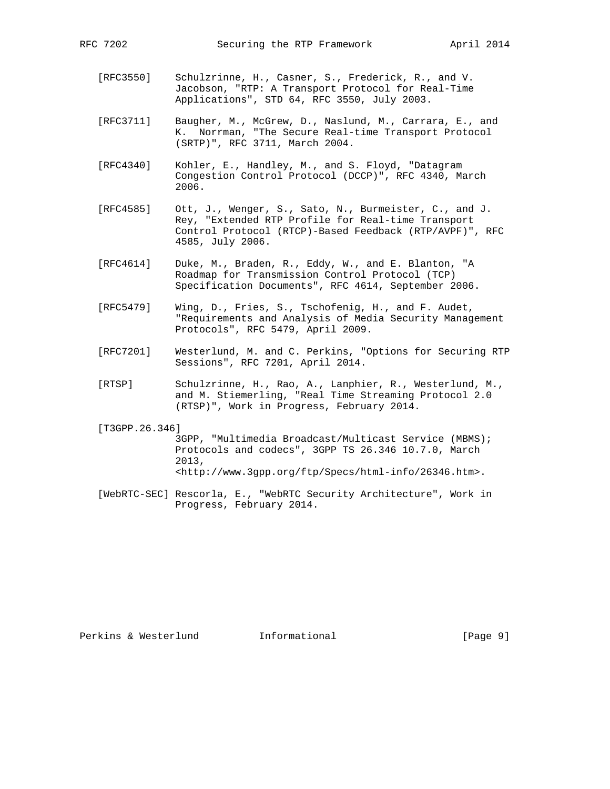- [RFC3550] Schulzrinne, H., Casner, S., Frederick, R., and V. Jacobson, "RTP: A Transport Protocol for Real-Time Applications", STD 64, RFC 3550, July 2003.
- [RFC3711] Baugher, M., McGrew, D., Naslund, M., Carrara, E., and K. Norrman, "The Secure Real-time Transport Protocol (SRTP)", RFC 3711, March 2004.
- [RFC4340] Kohler, E., Handley, M., and S. Floyd, "Datagram Congestion Control Protocol (DCCP)", RFC 4340, March 2006.
- [RFC4585] Ott, J., Wenger, S., Sato, N., Burmeister, C., and J. Rey, "Extended RTP Profile for Real-time Transport Control Protocol (RTCP)-Based Feedback (RTP/AVPF)", RFC 4585, July 2006.
- [RFC4614] Duke, M., Braden, R., Eddy, W., and E. Blanton, "A Roadmap for Transmission Control Protocol (TCP) Specification Documents", RFC 4614, September 2006.
- [RFC5479] Wing, D., Fries, S., Tschofenig, H., and F. Audet, "Requirements and Analysis of Media Security Management Protocols", RFC 5479, April 2009.
- [RFC7201] Westerlund, M. and C. Perkins, "Options for Securing RTP Sessions", RFC 7201, April 2014.
- [RTSP] Schulzrinne, H., Rao, A., Lanphier, R., Westerlund, M., and M. Stiemerling, "Real Time Streaming Protocol 2.0 (RTSP)", Work in Progress, February 2014.

[T3GPP.26.346]

 3GPP, "Multimedia Broadcast/Multicast Service (MBMS); Protocols and codecs", 3GPP TS 26.346 10.7.0, March 2013, <http://www.3gpp.org/ftp/Specs/html-info/26346.htm>.

 [WebRTC-SEC] Rescorla, E., "WebRTC Security Architecture", Work in Progress, February 2014.

Perkins & Westerlund 1nformational 100 (Page 9)